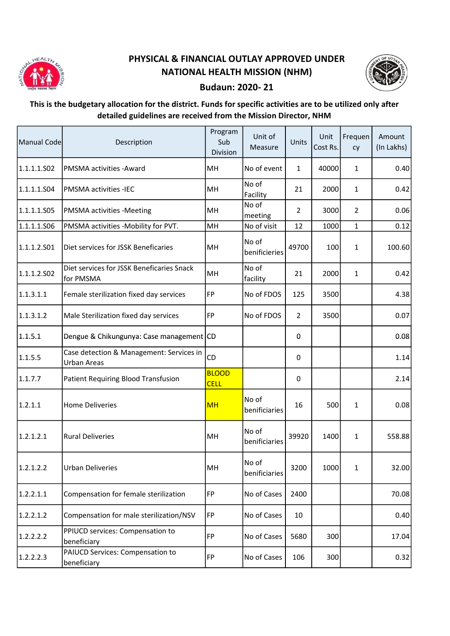

## PHYSICAL & FINANCIAL OUTLAY APPROVED UNDER NATIONAL HEALTH MISSION (NHM)



## Budaun: 2020- 21

## This is the budgetary allocation for the district. Funds for specific activities are to be utilized only after detailed guidelines are received from the Mission Director, NHM

| Manual Code | Description                                                    | Program<br>Sub<br>Division  | Unit of<br>Measure      | Units          | Unit<br>Cost Rs. | Frequen<br>cy  | Amount<br>(In Lakhs) |
|-------------|----------------------------------------------------------------|-----------------------------|-------------------------|----------------|------------------|----------------|----------------------|
| 1.1.1.1.S02 | PMSMA activities - Award                                       | MH                          | No of event             | 1              | 40000            | $\mathbf{1}$   | 0.40                 |
| 1.1.1.1.S04 | <b>PMSMA activities -IEC</b>                                   | MH                          | No of<br>Facility       | 21             | 2000             | $\mathbf{1}$   | 0.42                 |
| 1.1.1.1.S05 | PMSMA activities -Meeting                                      | MН                          | No of<br>meeting        | $\overline{2}$ | 3000             | $\overline{2}$ | 0.06                 |
| 1.1.1.1.506 | PMSMA activities -Mobility for PVT.                            | MH                          | No of visit             | 12             | 1000             | $\mathbf{1}$   | 0.12                 |
| 1.1.1.2.501 | Diet services for JSSK Beneficaries                            | MН                          | No of<br>benificieries  | 49700          | 100              | $\mathbf{1}$   | 100.60               |
| 1.1.1.2.502 | Diet services for JSSK Beneficaries Snack<br>for PMSMA         | MH                          | No of<br>facility       | 21             | 2000             | $\mathbf{1}$   | 0.42                 |
| 1.1.3.1.1   | Female sterilization fixed day services                        | FP                          | No of FDOS              | 125            | 3500             |                | 4.38                 |
| 1.1.3.1.2   | Male Sterilization fixed day services                          | <b>FP</b>                   | No of FDOS              | $\overline{2}$ | 3500             |                | 0.07                 |
| 1.1.5.1     | Dengue & Chikungunya: Case management CD                       |                             |                         | 0              |                  |                | 0.08                 |
| 1.1.5.5     | Case detection & Management: Services in<br><b>Urban Areas</b> | CD                          |                         | 0              |                  |                | 1.14                 |
| 1.1.7.7     | Patient Requiring Blood Transfusion                            | <b>BLOOD</b><br><b>CELL</b> |                         | 0              |                  |                | 2.14                 |
| 1.2.1.1     | <b>Home Deliveries</b>                                         | <b>MH</b>                   | No of<br>benificiaries  | 16             | 500              | $\mathbf{1}$   | 0.08                 |
| 1.2.1.2.1   | <b>Rural Deliveries</b>                                        | MН                          | No of<br>benificiaries  | 39920          | 1400             | $\mathbf{1}$   | 558.88               |
| 1.2.1.2.2   | <b>Urban Deliveries</b>                                        | MH                          | lNo of<br>benificiaries | 3200           | 1000             | $\mathbf{1}$   | 32.00                |
| 1.2.2.1.1   | Compensation for female sterilization                          | FP                          | No of Cases             | 2400           |                  |                | 70.08                |
| 1.2.2.1.2   | Compensation for male sterilization/NSV                        | FP                          | No of Cases             | 10             |                  |                | 0.40                 |
| 1.2.2.2.2   | PPIUCD services: Compensation to<br>beneficiary                | <b>FP</b>                   | No of Cases             | 5680           | 300              |                | 17.04                |
| 1.2.2.2.3   | PAIUCD Services: Compensation to<br>beneficiary                | FP                          | No of Cases             | 106            | 300              |                | 0.32                 |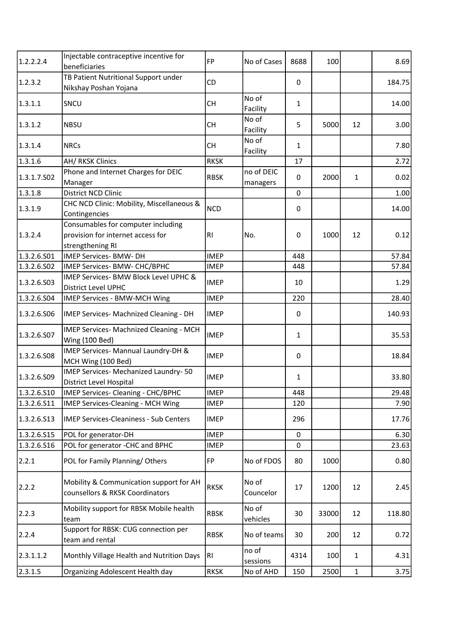| 1.2.2.2.4   | Injectable contraceptive incentive for                                                      | <b>FP</b>   | No of Cases            | 8688         | 100   |              | 8.69   |
|-------------|---------------------------------------------------------------------------------------------|-------------|------------------------|--------------|-------|--------------|--------|
|             | beneficiaries                                                                               |             |                        |              |       |              |        |
| 1.2.3.2     | TB Patient Nutritional Support under<br>Nikshay Poshan Yojana                               | CD          |                        | 0            |       |              | 184.75 |
| 1.3.1.1     | SNCU                                                                                        | <b>CH</b>   | No of<br>Facility      | $\mathbf{1}$ |       |              | 14.00  |
| 1.3.1.2     | <b>NBSU</b>                                                                                 | <b>CH</b>   | No of<br>Facility      | 5            | 5000  | 12           | 3.00   |
| 1.3.1.4     | <b>NRCs</b>                                                                                 | <b>CH</b>   | No of<br>Facility      | $\mathbf{1}$ |       |              | 7.80   |
| 1.3.1.6     | AH/ RKSK Clinics                                                                            | <b>RKSK</b> |                        | 17           |       |              | 2.72   |
| 1.3.1.7.502 | Phone and Internet Charges for DEIC<br>Manager                                              | <b>RBSK</b> | no of DEIC<br>managers | $\mathbf 0$  | 2000  | $\mathbf{1}$ | 0.02   |
| 1.3.1.8     | <b>District NCD Clinic</b>                                                                  |             |                        | 0            |       |              | 1.00   |
| 1.3.1.9     | CHC NCD Clinic: Mobility, Miscellaneous &<br>Contingencies                                  | <b>NCD</b>  |                        | $\Omega$     |       |              | 14.00  |
| 1.3.2.4     | Consumables for computer including<br>provision for internet access for<br>strengthening RI | RI.         | No.                    | 0            | 1000  | 12           | 0.12   |
| 1.3.2.6.S01 | IMEP Services- BMW- DH                                                                      | <b>IMEP</b> |                        | 448          |       |              | 57.84  |
| 1.3.2.6.S02 | IMEP Services- BMW- CHC/BPHC                                                                | <b>IMEP</b> |                        | 448          |       |              | 57.84  |
| 1.3.2.6.503 | IMEP Services- BMW Block Level UPHC &<br><b>District Level UPHC</b>                         | <b>IMEP</b> |                        | 10           |       |              | 1.29   |
| 1.3.2.6.S04 | IMEP Services - BMW-MCH Wing                                                                | <b>IMEP</b> |                        | 220          |       |              | 28.40  |
| 1.3.2.6.506 | IMEP Services- Machnized Cleaning - DH                                                      | <b>IMEP</b> |                        | 0            |       |              | 140.93 |
| 1.3.2.6.S07 | IMEP Services- Machnized Cleaning - MCH<br>Wing (100 Bed)                                   | <b>IMEP</b> |                        | $\mathbf{1}$ |       |              | 35.53  |
| 1.3.2.6.508 | IMEP Services- Mannual Laundry-DH &<br>MCH Wing (100 Bed)                                   | <b>IMEP</b> |                        | 0            |       |              | 18.84  |
| 1.3.2.6.509 | IMEP Services- Mechanized Laundry-50<br>District Level Hospital                             | <b>IMEP</b> |                        | $\mathbf{1}$ |       |              | 33.80  |
| 1.3.2.6.510 | IMEP Services- Cleaning - CHC/BPHC                                                          | <b>IMEP</b> |                        | 448          |       |              | 29.48  |
| 1.3.2.6.511 | IMEP Services-Cleaning - MCH Wing                                                           | <b>IMEP</b> |                        | 120          |       |              | 7.90   |
| 1.3.2.6.513 | <b>IMEP Services-Cleaniness - Sub Centers</b>                                               | <b>IMEP</b> |                        | 296          |       |              | 17.76  |
| 1.3.2.6.515 | POL for generator-DH                                                                        | <b>IMEP</b> |                        | $\mathbf{0}$ |       |              | 6.30   |
| 1.3.2.6.516 | POL for generator -CHC and BPHC                                                             | <b>IMEP</b> |                        | $\pmb{0}$    |       |              | 23.63  |
| 2.2.1       | POL for Family Planning/Others                                                              | FP          | No of FDOS             | 80           | 1000  |              | 0.80   |
| 2.2.2       | Mobility & Communication support for AH<br>counsellors & RKSK Coordinators                  | <b>RKSK</b> | No of<br>Councelor     | 17           | 1200  | 12           | 2.45   |
| 2.2.3       | Mobility support for RBSK Mobile health<br>team                                             | <b>RBSK</b> | No of<br>vehicles      | 30           | 33000 | 12           | 118.80 |
| 2.2.4       | Support for RBSK: CUG connection per<br>team and rental                                     | <b>RBSK</b> | No of teams            | 30           | 200   | 12           | 0.72   |
| 2.3.1.1.2   | Monthly Village Health and Nutrition Days                                                   | RI          | no of<br>sessions      | 4314         | 100   | 1            | 4.31   |
| 2.3.1.5     | Organizing Adolescent Health day                                                            | <b>RKSK</b> | No of AHD              | 150          | 2500  | $\mathbf{1}$ | 3.75   |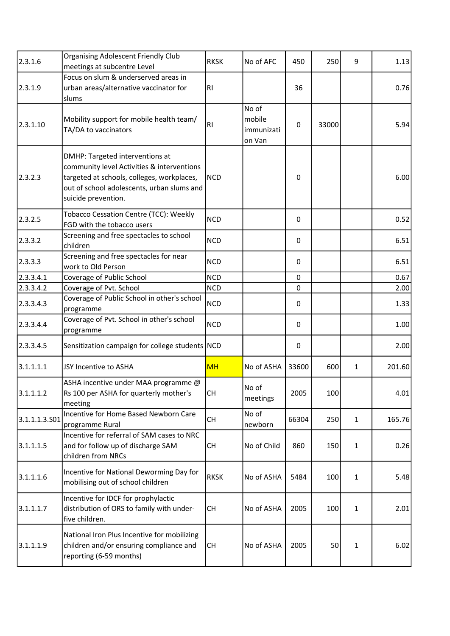| 2.3.1.6       | <b>Organising Adolescent Friendly Club</b><br>meetings at subcentre Level                                                                                                                        | <b>RKSK</b> | No of AFC                               | 450            | 250   | 9            | 1.13   |
|---------------|--------------------------------------------------------------------------------------------------------------------------------------------------------------------------------------------------|-------------|-----------------------------------------|----------------|-------|--------------|--------|
| 2.3.1.9       | Focus on slum & underserved areas in<br>urban areas/alternative vaccinator for<br>slums                                                                                                          | RI          |                                         | 36             |       |              | 0.76   |
| 2.3.1.10      | Mobility support for mobile health team/<br>TA/DA to vaccinators                                                                                                                                 | RI.         | No of<br>mobile<br>immunizati<br>on Van | $\mathbf 0$    | 33000 |              | 5.94   |
| 2.3.2.3       | DMHP: Targeted interventions at<br>community level Activities & interventions<br>targeted at schools, colleges, workplaces,<br>out of school adolescents, urban slums and<br>suicide prevention. | <b>NCD</b>  |                                         | 0              |       |              | 6.00   |
| 2.3.2.5       | Tobacco Cessation Centre (TCC): Weekly<br>FGD with the tobacco users                                                                                                                             | <b>NCD</b>  |                                         | 0              |       |              | 0.52   |
| 2.3.3.2       | Screening and free spectacles to school<br>children                                                                                                                                              | <b>NCD</b>  |                                         | 0              |       |              | 6.51   |
| 2.3.3.3       | Screening and free spectacles for near<br>work to Old Person                                                                                                                                     | <b>NCD</b>  |                                         | $\Omega$       |       |              | 6.51   |
| 2.3.3.4.1     | Coverage of Public School                                                                                                                                                                        | <b>NCD</b>  |                                         | 0              |       |              | 0.67   |
| 2.3.3.4.2     | Coverage of Pvt. School                                                                                                                                                                          | <b>NCD</b>  |                                         | $\overline{0}$ |       |              | 2.00   |
| 2.3.3.4.3     | Coverage of Public School in other's school<br>programme                                                                                                                                         | <b>NCD</b>  |                                         | 0              |       |              | 1.33   |
| 2.3.3.4.4     | Coverage of Pvt. School in other's school<br>programme                                                                                                                                           | <b>NCD</b>  |                                         | $\Omega$       |       |              | 1.00   |
| 2.3.3.4.5     | Sensitization campaign for college students NCD                                                                                                                                                  |             |                                         | 0              |       |              | 2.00   |
| 3.1.1.1.1     | JSY Incentive to ASHA                                                                                                                                                                            | <b>MH</b>   | No of ASHA                              | 33600          | 600   | $\mathbf{1}$ | 201.60 |
| 3.1.1.1.2     | ASHA incentive under MAA programme @<br>Rs 100 per ASHA for quarterly mother's<br>meeting                                                                                                        | <b>CH</b>   | No of<br>meetings                       | 2005           | 100   |              | 4.01   |
| 3.1.1.1.3.501 | Incentive for Home Based Newborn Care<br>programme Rural                                                                                                                                         | <b>CH</b>   | No of<br>newborn                        | 66304          | 250   | $\mathbf{1}$ | 165.76 |
| 3.1.1.1.5     | Incentive for referral of SAM cases to NRC<br>and for follow up of discharge SAM<br>children from NRCs                                                                                           | <b>CH</b>   | No of Child                             | 860            | 150   | $\mathbf{1}$ | 0.26   |
| 3.1.1.1.6     | Incentive for National Deworming Day for<br>mobilising out of school children                                                                                                                    | <b>RKSK</b> | No of ASHA                              | 5484           | 100   | $\mathbf{1}$ | 5.48   |
| 3.1.1.1.7     | Incentive for IDCF for prophylactic<br>distribution of ORS to family with under-<br>five children.                                                                                               | <b>CH</b>   | No of ASHA                              | 2005           | 100   | $\mathbf{1}$ | 2.01   |
| 3.1.1.1.9     | National Iron Plus Incentive for mobilizing<br>children and/or ensuring compliance and<br>reporting (6-59 months)                                                                                | <b>CH</b>   | No of ASHA                              | 2005           | 50    | $\mathbf{1}$ | 6.02   |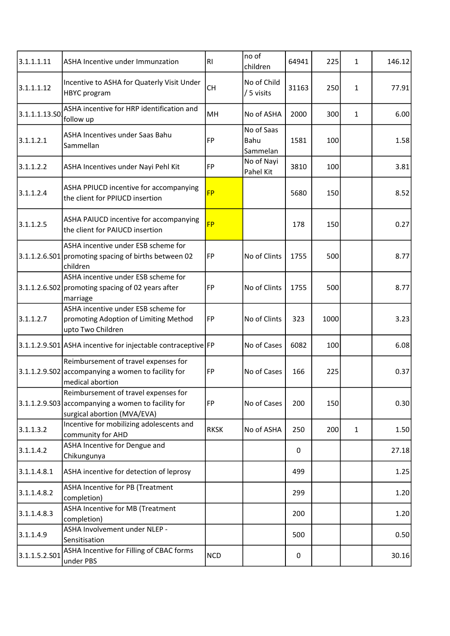| 3.1.1.1.11    | ASHA Incentive under Immunzation                                                                                            | R <sub>l</sub> | no of<br>children              | 64941 | 225  | $\mathbf{1}$ | 146.12 |
|---------------|-----------------------------------------------------------------------------------------------------------------------------|----------------|--------------------------------|-------|------|--------------|--------|
| 3.1.1.1.12    | Incentive to ASHA for Quaterly Visit Under<br>HBYC program                                                                  | <b>CH</b>      | No of Child<br>/ 5 visits      | 31163 | 250  | $\mathbf{1}$ | 77.91  |
| 3.1.1.1.13.SO | ASHA incentive for HRP identification and<br>follow up                                                                      | MH             | No of ASHA                     | 2000  | 300  | $\mathbf{1}$ | 6.00   |
| 3.1.1.2.1     | ASHA Incentives under Saas Bahu<br>Sammellan                                                                                | FP             | No of Saas<br>Bahu<br>Sammelan | 1581  | 100  |              | 1.58   |
| 3.1.1.2.2     | ASHA Incentives under Nayi Pehl Kit                                                                                         | FP             | No of Nayi<br>Pahel Kit        | 3810  | 100  |              | 3.81   |
| 3.1.1.2.4     | ASHA PPIUCD incentive for accompanying<br>the client for PPIUCD insertion                                                   | <b>FP</b>      |                                | 5680  | 150  |              | 8.52   |
| 3.1.1.2.5     | ASHA PAIUCD incentive for accompanying<br>the client for PAIUCD insertion                                                   | <b>FP</b>      |                                | 178   | 150  |              | 0.27   |
|               | ASHA incentive under ESB scheme for<br>3.1.1.2.6.S01 promoting spacing of births between 02<br>children                     | FP             | No of Clints                   | 1755  | 500  |              | 8.77   |
|               | ASHA incentive under ESB scheme for<br>3.1.1.2.6.S02 promoting spacing of 02 years after<br>marriage                        | FP             | No of Clints                   | 1755  | 500  |              | 8.77   |
| 3.1.1.2.7     | ASHA incentive under ESB scheme for<br>promoting Adoption of Limiting Method<br>upto Two Children                           | FP             | No of Clints                   | 323   | 1000 |              | 3.23   |
|               | 3.1.1.2.9.S01 ASHA incentive for injectable contraceptive FP                                                                |                | No of Cases                    | 6082  | 100  |              | 6.08   |
|               | Reimbursement of travel expenses for<br>$3.1.1.2.9.502$ accompanying a women to facility for<br>medical abortion            | FP             | No of Cases                    | 166   | 225  |              | 0.37   |
|               | Reimbursement of travel expenses for<br>$3.1.1.2.9.503$ accompanying a women to facility for<br>surgical abortion (MVA/EVA) | FP             | No of Cases                    | 200   | 150  |              | 0.30   |
| 3.1.1.3.2     | Incentive for mobilizing adolescents and<br>community for AHD                                                               | <b>RKSK</b>    | No of ASHA                     | 250   | 200  | $\mathbf{1}$ | 1.50   |
| 3.1.1.4.2     | ASHA Incentive for Dengue and<br>Chikungunya                                                                                |                |                                | 0     |      |              | 27.18  |
| 3.1.1.4.8.1   | ASHA incentive for detection of leprosy                                                                                     |                |                                | 499   |      |              | 1.25   |
| 3.1.1.4.8.2   | ASHA Incentive for PB (Treatment<br>completion)                                                                             |                |                                | 299   |      |              | 1.20   |
| 3.1.1.4.8.3   | ASHA Incentive for MB (Treatment<br>completion)                                                                             |                |                                | 200   |      |              | 1.20   |
| 3.1.1.4.9     | ASHA Involvement under NLEP -<br>Sensitisation                                                                              |                |                                | 500   |      |              | 0.50   |
| 3.1.1.5.2.S01 | ASHA Incentive for Filling of CBAC forms<br>under PBS                                                                       | <b>NCD</b>     |                                | 0     |      |              | 30.16  |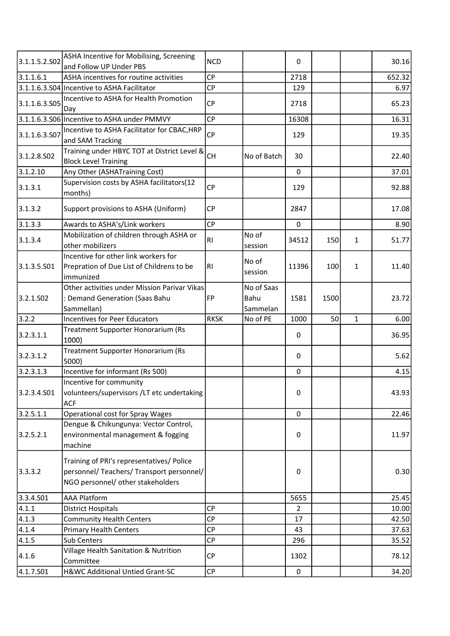| 3.1.1.5.2.502          | ASHA Incentive for Mobilising, Screening<br>and Follow UP Under PBS                                                         | <b>NCD</b>  |                                | 0              |      |              | 30.16                  |
|------------------------|-----------------------------------------------------------------------------------------------------------------------------|-------------|--------------------------------|----------------|------|--------------|------------------------|
| 3.1.1.6.1              | ASHA incentives for routine activities                                                                                      | <b>CP</b>   |                                | 2718           |      |              | 652.32                 |
|                        | 3.1.1.6.3.S04 Incentive to ASHA Facilitator                                                                                 | CP          |                                | 129            |      |              | 6.97                   |
| 3.1.1.6.3.505          | Incentive to ASHA for Health Promotion                                                                                      | <b>CP</b>   |                                | 2718           |      |              | 65.23                  |
|                        | Day                                                                                                                         | <b>CP</b>   |                                |                |      |              |                        |
|                        | 3.1.1.6.3.506 Incentive to ASHA under PMMVY                                                                                 |             |                                | 16308          |      |              | 16.31                  |
| 3.1.1.6.3.507          | Incentive to ASHA Facilitator for CBAC, HRP<br>and SAM Tracking                                                             | <b>CP</b>   |                                | 129            |      |              | 19.35                  |
| 3.1.2.8.502            | Training under HBYC TOT at District Level &<br><b>Block Level Training</b>                                                  | <b>CH</b>   | No of Batch                    | 30             |      |              | 22.40                  |
| 3.1.2.10               | Any Other (ASHATraining Cost)                                                                                               |             |                                | $\mathbf 0$    |      |              | 37.01                  |
| 3.1.3.1                | Supervision costs by ASHA facilitators(12<br>months)                                                                        | <b>CP</b>   |                                | 129            |      |              | 92.88                  |
| 3.1.3.2                | Support provisions to ASHA (Uniform)                                                                                        | <b>CP</b>   |                                | 2847           |      |              | 17.08                  |
| 3.1.3.3                | Awards to ASHA's/Link workers                                                                                               | <b>CP</b>   |                                | $\mathbf 0$    |      |              | 8.90                   |
| 3.1.3.4                | Mobilization of children through ASHA or<br>other mobilizers                                                                | RI.         | No of<br>session               | 34512          | 150  | $\mathbf{1}$ | 51.77                  |
| 3.1.3.5.S01            | Incentive for other link workers for<br>Prepration of Due List of Childrens to be<br>immunized                              | RI.         | No of<br>session               | 11396          | 100  | $\mathbf{1}$ | 11.40                  |
| 3.2.1.502              | Other activities under Mission Parivar Vikas<br>: Demand Generation (Saas Bahu<br>Sammellan)                                | FP          | No of Saas<br>Bahu<br>Sammelan | 1581           | 1500 |              | 23.72                  |
| 3.2.2                  | <b>Incentives for Peer Educators</b>                                                                                        | <b>RKSK</b> | No of PE                       | 1000           | 50   | $\mathbf{1}$ | 6.00                   |
| 3.2.3.1.1              | Treatment Supporter Honorarium (Rs<br>1000)                                                                                 |             |                                | $\Omega$       |      |              | 36.95                  |
| 3.2.3.1.2              | Treatment Supporter Honorarium (Rs<br>5000)                                                                                 |             |                                | 0              |      |              | 5.62                   |
| 3.2.3.1.3              | Incentive for informant (Rs 500)                                                                                            |             |                                |                |      |              |                        |
|                        |                                                                                                                             |             |                                | $\mathbf 0$    |      |              | 4.15                   |
| 3.2.3.4.S01            | Incentive for community<br>volunteers/supervisors /LT etc undertaking                                                       |             |                                | 0              |      |              | 43.93                  |
|                        | <b>ACF</b>                                                                                                                  |             |                                | 0              |      |              |                        |
| 3.2.5.1.1<br>3.2.5.2.1 | Operational cost for Spray Wages<br>Dengue & Chikungunya: Vector Control,<br>environmental management & fogging<br>machine  |             |                                | 0              |      |              |                        |
| 3.3.3.2                | Training of PRI's representatives/ Police<br>personnel/ Teachers/ Transport personnel/<br>NGO personnel/ other stakeholders |             |                                | $\mathbf 0$    |      |              | 22.46<br>11.97<br>0.30 |
| 3.3.4.501              | <b>AAA Platform</b>                                                                                                         |             |                                | 5655           |      |              | 25.45                  |
| 4.1.1                  | <b>District Hospitals</b>                                                                                                   | <b>CP</b>   |                                | $\overline{2}$ |      |              | 10.00                  |
| 4.1.3                  | <b>Community Health Centers</b>                                                                                             | <b>CP</b>   |                                | 17             |      |              | 42.50                  |
| 4.1.4                  | <b>Primary Health Centers</b>                                                                                               | <b>CP</b>   |                                | 43             |      |              | 37.63                  |
| 4.1.5                  | Sub Centers                                                                                                                 | <b>CP</b>   |                                | 296            |      |              | 35.52                  |
| 4.1.6                  | Village Health Sanitation & Nutrition<br>Committee                                                                          | CP          |                                | 1302           |      |              | 78.12                  |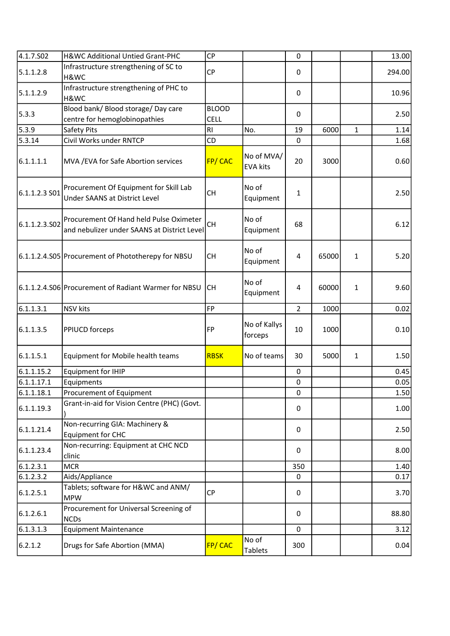| 4.1.7.502     | H&WC Additional Untied Grant-PHC                                                       | <b>CP</b>                   |                               | $\mathbf 0$    |       |              | 13.00  |
|---------------|----------------------------------------------------------------------------------------|-----------------------------|-------------------------------|----------------|-------|--------------|--------|
| 5.1.1.2.8     | Infrastructure strengthening of SC to<br>H&WC                                          | <b>CP</b>                   |                               | $\mathbf 0$    |       |              | 294.00 |
| 5.1.1.2.9     | Infrastructure strengthening of PHC to<br>H&WC                                         |                             |                               | $\mathbf{0}$   |       |              | 10.96  |
| 5.3.3         | Blood bank/ Blood storage/ Day care<br>centre for hemoglobinopathies                   | <b>BLOOD</b><br><b>CELL</b> |                               | $\mathbf 0$    |       |              | 2.50   |
| 5.3.9         | Safety Pits                                                                            | R <sub>l</sub>              | No.                           | 19             | 6000  | $\mathbf{1}$ | 1.14   |
| 5.3.14        | Civil Works under RNTCP                                                                | CD                          |                               | $\mathbf 0$    |       |              | 1.68   |
| 6.1.1.1.1     | MVA / EVA for Safe Abortion services                                                   | FP/CAC                      | No of MVA/<br><b>EVA kits</b> | 20             | 3000  |              | 0.60   |
| 6.1.1.2.3 S01 | Procurement Of Equipment for Skill Lab<br><b>Under SAANS at District Level</b>         | <b>CH</b>                   | No of<br>Equipment            | 1              |       |              | 2.50   |
| 6.1.1.2.3.502 | Procurement Of Hand held Pulse Oximeter<br>and nebulizer under SAANS at District Level | <b>CH</b>                   | No of<br>Equipment            | 68             |       |              | 6.12   |
|               | 6.1.1.2.4.S05 Procurement of Phototherepy for NBSU                                     | <b>CH</b>                   | No of<br>Equipment            | $\overline{4}$ | 65000 | $\mathbf{1}$ | 5.20   |
|               | 6.1.1.2.4.S06 Procurement of Radiant Warmer for NBSU                                   | <b>CH</b>                   | No of<br>Equipment            | 4              | 60000 | 1            | 9.60   |
| 6.1.1.3.1     | <b>NSV</b> kits                                                                        | FP                          |                               | $\overline{2}$ | 1000  |              | 0.02   |
| 6.1.1.3.5     | PPIUCD forceps                                                                         | FP                          | No of Kallys<br>forceps       | 10             | 1000  |              | 0.10   |
| 6.1.1.5.1     | Equipment for Mobile health teams                                                      | <b>RBSK</b>                 | No of teams                   | 30             | 5000  | 1            | 1.50   |
| 6.1.1.15.2    | <b>Equipment for IHIP</b>                                                              |                             |                               | 0              |       |              | 0.45   |
| 6.1.1.17.1    | Equipments                                                                             |                             |                               | $\mathbf 0$    |       |              | 0.05   |
| 6.1.1.18.1    | Procurement of Equipment                                                               |                             |                               | $\mathbf 0$    |       |              | 1.50   |
| 6.1.1.19.3    | Grant-in-aid for Vision Centre (PHC) (Govt.                                            |                             |                               | 0              |       |              | 1.00   |
| 6.1.1.21.4    | Non-recurring GIA: Machinery &<br>Equipment for CHC                                    |                             |                               | $\Omega$       |       |              | 2.50   |
| 6.1.1.23.4    | Non-recurring: Equipment at CHC NCD<br>clinic                                          |                             |                               | 0              |       |              | 8.00   |
| 6.1.2.3.1     | <b>MCR</b>                                                                             |                             |                               | 350            |       |              | 1.40   |
| 6.1.2.3.2     | Aids/Appliance                                                                         |                             |                               | 0              |       |              | 0.17   |
| 6.1.2.5.1     | Tablets; software for H&WC and ANM/<br><b>MPW</b>                                      | <b>CP</b>                   |                               | 0              |       |              | 3.70   |
| 6.1.2.6.1     | Procurement for Universal Screening of<br><b>NCDs</b>                                  |                             |                               | 0              |       |              | 88.80  |
| 6.1.3.1.3     | <b>Equipment Maintenance</b>                                                           |                             |                               | $\mathbf 0$    |       |              | 3.12   |
| 6.2.1.2       | Drugs for Safe Abortion (MMA)                                                          | FP/CAC                      | No of<br><b>Tablets</b>       | 300            |       |              | 0.04   |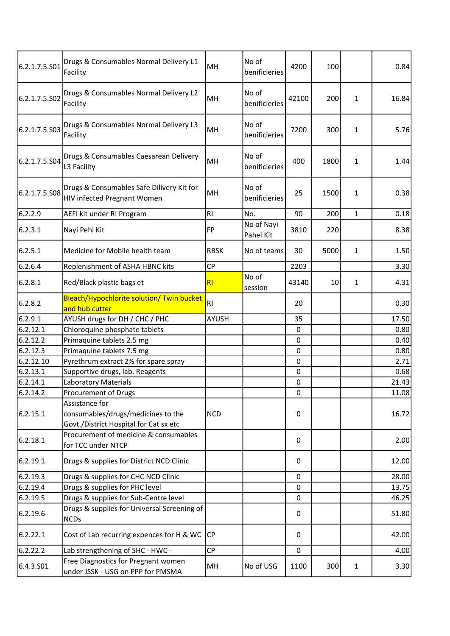| 6.2.1.7.5.S01 | Drugs & Consumables Normal Delivery L1<br>Facility                                             | MH             | No of<br>benificieries  | 4200        | 100  |              | 0.84  |
|---------------|------------------------------------------------------------------------------------------------|----------------|-------------------------|-------------|------|--------------|-------|
| 6.2.1.7.5.S02 | Drugs & Consumables Normal Delivery L2<br>Facility                                             | MH             | No of<br>benificieries  | 42100       | 200  | 1            | 16.84 |
| 6.2.1.7.5.S03 | Drugs & Consumables Normal Delivery L3<br>Facility                                             | MH             | No of<br>benificieries  | 7200        | 300  | 1            | 5.76  |
| 6.2.1.7.5.S04 | Drugs & Consumables Caesarean Delivery<br>L3 Facility                                          | MH             | No of<br>benificieries  | 400         | 1800 | $\mathbf{1}$ | 1.44  |
| 6.2.1.7.5.S08 | Drugs & Consumables Safe Dilivery Kit for<br>HIV infected Pregnant Women                       | MH             | No of<br>benificieries  | 25          | 1500 | 1            | 0.38  |
| 6.2.2.9       | AEFI kit under RI Program                                                                      | RI.            | No.                     | 90          | 200  | $\mathbf{1}$ | 0.18  |
| 6.2.3.1       | Nayi Pehl Kit                                                                                  | <b>FP</b>      | No of Nayi<br>Pahel Kit | 3810        | 220  |              | 8.38  |
| 6.2.5.1       | Medicine for Mobile health team                                                                | <b>RBSK</b>    | No of teams             | 30          | 5000 | $\mathbf{1}$ | 1.50  |
| 6.2.6.4       | Replenishment of ASHA HBNC kits                                                                | <b>CP</b>      |                         | 2203        |      |              | 3.30  |
| 6.2.8.1       | Red/Black plastic bags et                                                                      | R <sub>l</sub> | No of<br>session        | 43140       | 10   | 1            | 4.31  |
| 6.2.8.2       | Bleach/Hypochlorite solution/ Twin bucket<br>and hub cutter                                    | RI.            |                         | 20          |      |              | 0.30  |
| 6.2.9.1       | AYUSH drugs for DH / CHC / PHC                                                                 | <b>AYUSH</b>   |                         | 35          |      |              | 17.50 |
| 6.2.12.1      | Chloroquine phosphate tablets                                                                  |                |                         | 0           |      |              | 0.80  |
| 6.2.12.2      | Primaquine tablets 2.5 mg                                                                      |                |                         | $\mathbf 0$ |      |              | 0.40  |
| 6.2.12.3      | Primaquine tablets 7.5 mg                                                                      |                |                         | $\mathbf 0$ |      |              | 0.80  |
| 6.2.12.10     | Pyrethrum extract 2% for spare spray                                                           |                |                         | $\mathbf 0$ |      |              | 2.71  |
| 6.2.13.1      | Supportive drugs, lab. Reagents                                                                |                |                         | $\mathbf 0$ |      |              | 0.68  |
| 6.2.14.1      | <b>Laboratory Materials</b>                                                                    |                |                         | 0           |      |              | 21.43 |
| 6.2.14.2      | Procurement of Drugs                                                                           |                |                         | $\pmb{0}$   |      |              | 11.08 |
| 6.2.15.1      | Assistance for<br>consumables/drugs/medicines to the<br>Govt./District Hospital for Cat sx etc | <b>NCD</b>     |                         | 0           |      |              | 16.72 |
| 6.2.18.1      | Procurement of medicine & consumables<br>for TCC under NTCP                                    |                |                         | 0           |      |              | 2.00  |
| 6.2.19.1      | Drugs & supplies for District NCD Clinic                                                       |                |                         | 0           |      |              | 12.00 |
| 6.2.19.3      | Drugs & supplies for CHC NCD Clinic                                                            |                |                         | 0           |      |              | 28.00 |
| 6.2.19.4      | Drugs & supplies for PHC level                                                                 |                |                         | 0           |      |              | 13.75 |
| 6.2.19.5      | Drugs & supplies for Sub-Centre level                                                          |                |                         | $\mathbf 0$ |      |              | 46.25 |
| 6.2.19.6      | Drugs & supplies for Universal Screening of<br><b>NCDs</b>                                     |                |                         | 0           |      |              | 51.80 |
| 6.2.22.1      | Cost of Lab recurring expences for H & WC                                                      | CP             |                         | 0           |      |              | 42.00 |
| 6.2.22.2      | Lab strengthening of SHC - HWC -                                                               | <b>CP</b>      |                         | $\mathbf 0$ |      |              | 4.00  |
| 6.4.3.S01     | Free Diagnostics for Pregnant women<br>under JSSK - USG on PPP for PMSMA                       | MH             | No of USG               | 1100        | 300  | $\mathbf{1}$ | 3.30  |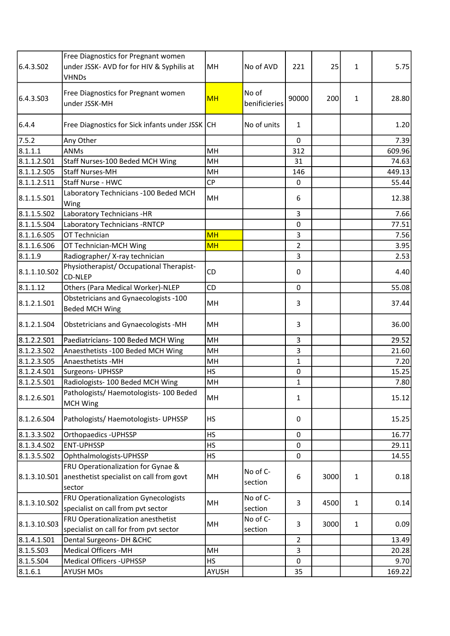| 6.4.3.SO <sub>2</sub> | Free Diagnostics for Pregnant women<br>under JSSK- AVD for for HIV & Syphilis at<br><b>VHNDs</b> | MH           | No of AVD              | 221            | 25   | 1            | 5.75   |
|-----------------------|--------------------------------------------------------------------------------------------------|--------------|------------------------|----------------|------|--------------|--------|
| 6.4.3.503             | Free Diagnostics for Pregnant women<br>under JSSK-MH                                             | <b>MH</b>    | No of<br>benificieries | 90000          | 200  | $\mathbf{1}$ | 28.80  |
| 6.4.4                 | Free Diagnostics for Sick infants under JSSK CH                                                  |              | No of units            | $\mathbf{1}$   |      |              | 1.20   |
| 7.5.2                 | Any Other                                                                                        |              |                        | $\mathbf 0$    |      |              | 7.39   |
| 8.1.1.1               | <b>ANMs</b>                                                                                      | MH           |                        | 312            |      |              | 609.96 |
| 8.1.1.2.501           | Staff Nurses-100 Beded MCH Wing                                                                  | MH           |                        | 31             |      |              | 74.63  |
| 8.1.1.2.S05           | <b>Staff Nurses-MH</b>                                                                           | MH           |                        | 146            |      |              | 449.13 |
| 8.1.1.2.S11           | Staff Nurse - HWC                                                                                | CP           |                        | 0              |      |              | 55.44  |
| 8.1.1.5.501           | Laboratory Technicians -100 Beded MCH<br>Wing                                                    | MH           |                        | 6              |      |              | 12.38  |
| 8.1.1.5.502           | Laboratory Technicians -HR                                                                       |              |                        | 3              |      |              | 7.66   |
| 8.1.1.5.504           | Laboratory Technicians - RNTCP                                                                   |              |                        | $\mathbf 0$    |      |              | 77.51  |
| 8.1.1.6.505           | OT Technician                                                                                    | <b>MH</b>    |                        | 3              |      |              | 7.56   |
| 8.1.1.6.506           | OT Technician-MCH Wing                                                                           | <b>MH</b>    |                        | 2              |      |              | 3.95   |
| 8.1.1.9               | Radiographer/X-ray technician                                                                    |              |                        | 3              |      |              | 2.53   |
| 8.1.1.10.S02          | Physiotherapist/ Occupational Therapist-<br><b>CD-NLEP</b>                                       | CD           |                        | 0              |      |              | 4.40   |
| 8.1.1.12              | Others (Para Medical Worker)-NLEP                                                                | CD           |                        | $\mathbf 0$    |      |              | 55.08  |
| 8.1.2.1.S01           | Obstetricians and Gynaecologists -100<br><b>Beded MCH Wing</b>                                   | MH           |                        | 3              |      |              | 37.44  |
| 8.1.2.1.S04           | Obstetricians and Gynaecologists -MH                                                             | MH           |                        | 3              |      |              | 36.00  |
| 8.1.2.2.501           | Paediatricians- 100 Beded MCH Wing                                                               | MH           |                        | 3              |      |              | 29.52  |
| 8.1.2.3.502           | Anaesthetists -100 Beded MCH Wing                                                                | MH           |                        | 3              |      |              | 21.60  |
| 8.1.2.3.505           | Anaesthetists - MH                                                                               | MH           |                        | $\mathbf{1}$   |      |              | 7.20   |
| 8.1.2.4.501           | Surgeons- UPHSSP                                                                                 | <b>HS</b>    |                        | $\pmb{0}$      |      |              | 15.25  |
| 8.1.2.5.501           | Radiologists-100 Beded MCH Wing                                                                  | MH           |                        | $\mathbf{1}$   |      |              | 7.80   |
| 8.1.2.6.501           | Pathologists/Haemotologists-100 Beded<br><b>MCH Wing</b>                                         | MH           |                        | $\mathbf{1}$   |      |              | 15.12  |
| 8.1.2.6.504           | Pathologists/ Haemotologists- UPHSSP                                                             | <b>HS</b>    |                        | 0              |      |              | 15.25  |
| 8.1.3.3.502           | <b>Orthopaedics - UPHSSP</b>                                                                     | <b>HS</b>    |                        | $\mathbf 0$    |      |              | 16.77  |
| 8.1.3.4.502           | ENT-UPHSSP                                                                                       | <b>HS</b>    |                        | $\pmb{0}$      |      |              | 29.11  |
| 8.1.3.5.502           | Ophthalmologists-UPHSSP                                                                          | <b>HS</b>    |                        | $\overline{0}$ |      |              | 14.55  |
| 8.1.3.10.S01          | FRU Operationalization for Gynae &<br>anesthetist specialist on call from govt<br>sector         | MH           | No of C-<br>section    | 6              | 3000 | $\mathbf{1}$ | 0.18   |
| 8.1.3.10.S02          | FRU Operationalization Gynecologists<br>specialist on call from pvt sector                       | MH           | No of C-<br>section    | 3              | 4500 | $\mathbf{1}$ | 0.14   |
| 8.1.3.10.S03          | FRU Operationalization anesthetist<br>specialist on call for from pvt sector                     | MH           | No of C-<br>section    | 3              | 3000 | $\mathbf{1}$ | 0.09   |
| 8.1.4.1.S01           | Dental Surgeons- DH & CHC                                                                        |              |                        | $\overline{2}$ |      |              | 13.49  |
| 8.1.5.503             | Medical Officers -MH                                                                             | MH           |                        | 3              |      |              | 20.28  |
| 8.1.5.S04             | <b>Medical Officers - UPHSSP</b>                                                                 | HS           |                        | $\mathbf 0$    |      |              | 9.70   |
| 8.1.6.1               | <b>AYUSH MOs</b>                                                                                 | <b>AYUSH</b> |                        | 35             |      |              | 169.22 |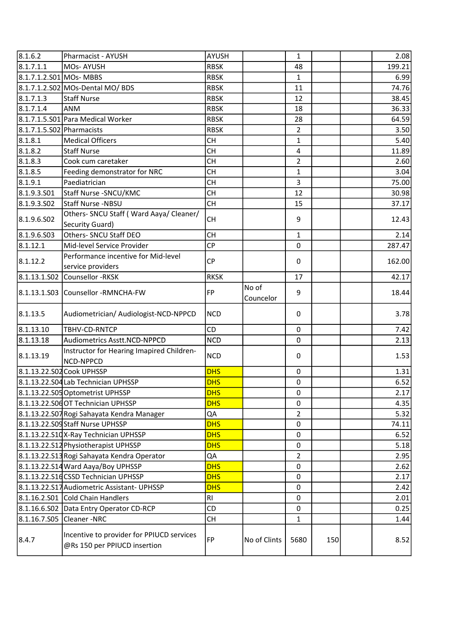| 8.1.6.2                   | Pharmacist - AYUSH                                                        | AYUSH          |                    | $\mathbf{1}$   |     | 2.08   |
|---------------------------|---------------------------------------------------------------------------|----------------|--------------------|----------------|-----|--------|
| 8.1.7.1.1                 | MOs-AYUSH                                                                 | <b>RBSK</b>    |                    | 48             |     | 199.21 |
| 8.1.7.1.2.S01 MOs- MBBS   |                                                                           | <b>RBSK</b>    |                    | $\mathbf{1}$   |     | 6.99   |
|                           | 8.1.7.1.2.S02 MOs-Dental MO/ BDS                                          | <b>RBSK</b>    |                    | 11             |     | 74.76  |
| 8.1.7.1.3                 | <b>Staff Nurse</b>                                                        | <b>RBSK</b>    |                    | 12             |     | 38.45  |
| 8.1.7.1.4                 | <b>ANM</b>                                                                | <b>RBSK</b>    |                    | 18             |     | 36.33  |
|                           | 8.1.7.1.5.S01 Para Medical Worker                                         | <b>RBSK</b>    |                    | 28             |     | 64.59  |
| 8.1.7.1.5.S02 Pharmacists |                                                                           | <b>RBSK</b>    |                    | $\overline{2}$ |     | 3.50   |
| 8.1.8.1                   | <b>Medical Officers</b>                                                   | <b>CH</b>      |                    | $\mathbf{1}$   |     | $5.40$ |
| 8.1.8.2                   | <b>Staff Nurse</b>                                                        | <b>CH</b>      |                    | 4              |     | 11.89  |
| 8.1.8.3                   | Cook cum caretaker                                                        | <b>CH</b>      |                    | $\overline{2}$ |     | 2.60   |
| 8.1.8.5                   | Feeding demonstrator for NRC                                              | <b>CH</b>      |                    | $\mathbf{1}$   |     | 3.04   |
| 8.1.9.1                   | Paediatrician                                                             | <b>CH</b>      |                    | 3              |     | 75.00  |
| 8.1.9.3.501               | Staff Nurse - SNCU/KMC                                                    | <b>CH</b>      |                    | 12             |     | 30.98  |
| 8.1.9.3.502               | Staff Nurse -NBSU                                                         | <b>CH</b>      |                    | 15             |     | 37.17  |
|                           | Others- SNCU Staff (Ward Aaya/ Cleaner/                                   |                |                    |                |     |        |
| 8.1.9.6.502               | Security Guard)                                                           | <b>CH</b>      |                    | 9              |     | 12.43  |
| 8.1.9.6.503               | Others- SNCU Staff DEO                                                    | <b>CH</b>      |                    | $\mathbf{1}$   |     | 2.14   |
| 8.1.12.1                  | Mid-level Service Provider                                                | <b>CP</b>      |                    | 0              |     | 287.47 |
|                           | Performance incentive for Mid-level                                       |                |                    |                |     |        |
| 8.1.12.2                  | service providers                                                         | <b>CP</b>      |                    | 0              |     | 162.00 |
|                           | 8.1.13.1.S02 Counsellor -RKSK                                             | <b>RKSK</b>    |                    | 17             |     | 42.17  |
|                           | 8.1.13.1.S03 Counsellor -RMNCHA-FW                                        | <b>FP</b>      | No of<br>Councelor | 9              |     | 18.44  |
| 8.1.13.5                  | Audiometrician/ Audiologist-NCD-NPPCD                                     | <b>NCD</b>     |                    | 0              |     | 3.78   |
| 8.1.13.10                 | TBHV-CD-RNTCP                                                             | CD             |                    | 0              |     | 7.42   |
| 8.1.13.18                 | Audiometrics Asstt.NCD-NPPCD                                              | <b>NCD</b>     |                    | 0              |     | 2.13   |
| 8.1.13.19                 | Instructor for Hearing Imapired Children-<br>NCD-NPPCD                    | <b>NCD</b>     |                    | 0              |     | 1.53   |
| 8.1.13.22.S02 Cook UPHSSP |                                                                           | <b>DHS</b>     |                    | 0              |     | 1.31   |
|                           | 8.1.13.22.S04 Lab Technician UPHSSP                                       | <b>DHS</b>     |                    | 0              |     | 6.52   |
|                           | 8.1.13.22.S05 Optometrist UPHSSP                                          | <b>DHS</b>     |                    | 0              |     | 2.17   |
|                           | 8.1.13.22.S0dOT Technician UPHSSP                                         | <b>DHS</b>     |                    | 0              |     | 4.35   |
|                           | 8.1.13.22.S07 Rogi Sahayata Kendra Manager                                | QA             |                    | $\overline{2}$ |     | 5.32   |
|                           | 8.1.13.22.S09 Staff Nurse UPHSSP                                          | <b>DHS</b>     |                    | 0              |     | 74.11  |
|                           | 8.1.13.22.S10X-Ray Technician UPHSSP                                      | <b>DHS</b>     |                    | 0              |     | 6.52   |
|                           | 8.1.13.22.S12 Physiotherapist UPHSSP                                      | <b>DHS</b>     |                    | 0              |     | 5.18   |
|                           | 8.1.13.22.S13 Rogi Sahayata Kendra Operator                               | QA             |                    | $\overline{2}$ |     | 2.95   |
|                           | 8.1.13.22.S14 Ward Aaya/Boy UPHSSP                                        | <b>DHS</b>     |                    | 0              |     | 2.62   |
|                           | 8.1.13.22.S1dCSSD Technician UPHSSP                                       | <b>DHS</b>     |                    | 0              |     | 2.17   |
|                           | 8.1.13.22.S17 Audiometric Assistant- UPHSSP                               | <b>DHS</b>     |                    | 0              |     | 2.42   |
|                           | 8.1.16.2.S01 Cold Chain Handlers                                          | R <sub>1</sub> |                    | 0              |     | 2.01   |
|                           | 8.1.16.6.S02 Data Entry Operator CD-RCP                                   | CD             |                    | 0              |     | 0.25   |
| 8.1.16.7.S05 Cleaner -NRC |                                                                           | <b>CH</b>      |                    | $\mathbf{1}$   |     | 1.44   |
| 8.4.7                     | Incentive to provider for PPIUCD services<br>@Rs 150 per PPIUCD insertion | <b>FP</b>      | No of Clints       | 5680           | 150 | 8.52   |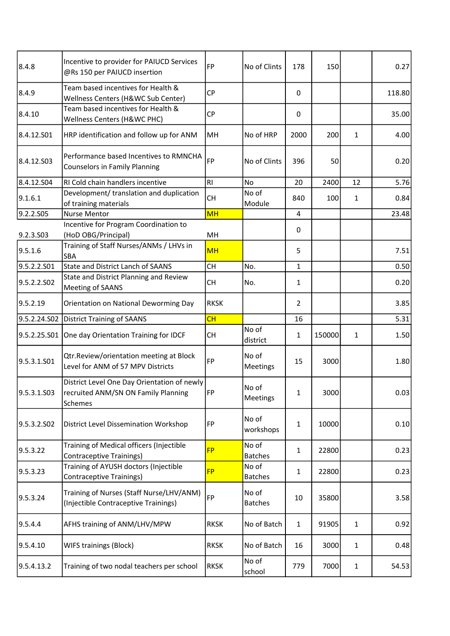| 8.4.8        | Incentive to provider for PAIUCD Services<br>@Rs 150 per PAIUCD insertion                     | FP             | No of Clints            | 178            | 150    |              | 0.27   |
|--------------|-----------------------------------------------------------------------------------------------|----------------|-------------------------|----------------|--------|--------------|--------|
| 8.4.9        | Team based incentives for Health &<br>Wellness Centers (H&WC Sub Center)                      | <b>CP</b>      |                         | 0              |        |              | 118.80 |
| 8.4.10       | Team based incentives for Health &<br>Wellness Centers (H&WC PHC)                             | <b>CP</b>      |                         | $\mathbf 0$    |        |              | 35.00  |
| 8.4.12.501   | HRP identification and follow up for ANM                                                      | MH             | No of HRP               | 2000           | 200    | $\mathbf{1}$ | 4.00   |
| 8.4.12.503   | Performance based Incentives to RMNCHA<br><b>Counselors in Family Planning</b>                | FP             | No of Clints            | 396            | 50     |              | 0.20   |
| 8.4.12.S04   | RI Cold chain handlers incentive                                                              | R <sub>l</sub> | <b>No</b>               | 20             | 2400   | 12           | 5.76   |
| 9.1.6.1      | Development/ translation and duplication<br>of training materials                             | <b>CH</b>      | No of<br>Module         | 840            | 100    | 1            | 0.84   |
| 9.2.2.S05    | <b>Nurse Mentor</b>                                                                           | <b>MH</b>      |                         | $\overline{4}$ |        |              | 23.48  |
| 9.2.3.S03    | Incentive for Program Coordination to<br>(HoD OBG/Principal)                                  | MH             |                         | $\mathbf 0$    |        |              |        |
| 9.5.1.6      | Training of Staff Nurses/ANMs / LHVs in<br><b>SBA</b>                                         | <b>MH</b>      |                         | 5              |        |              | 7.51   |
| 9.5.2.2.S01  | <b>State and District Lanch of SAANS</b>                                                      | <b>CH</b>      | No.                     | $\mathbf{1}$   |        |              | 0.50   |
| 9.5.2.2.SO2  | State and District Planning and Review<br>Meeting of SAANS                                    | <b>CH</b>      | No.                     | 1              |        |              | 0.20   |
| 9.5.2.19     | Orientation on National Deworming Day                                                         | <b>RKSK</b>    |                         | $\overline{2}$ |        |              | 3.85   |
| 9.5.2.24.S02 | <b>District Training of SAANS</b>                                                             | CH             |                         | 16             |        |              | 5.31   |
| 9.5.2.25.S01 | One day Orientation Training for IDCF                                                         | <b>CH</b>      | No of<br>district       | $\mathbf{1}$   | 150000 | $\mathbf{1}$ | 1.50   |
| 9.5.3.1.S01  | Qtr.Review/orientation meeting at Block<br>Level for ANM of 57 MPV Districts                  | FP             | No of<br>Meetings       | 15             | 3000   |              | 1.80   |
| 9.5.3.1.S03  | District Level One Day Orientation of newly<br>recruited ANM/SN ON Family Planning<br>Schemes | FP             | No of<br>Meetings       | 1              | 3000   |              | 0.03   |
| 9.5.3.2.SO2  | <b>District Level Dissemination Workshop</b>                                                  | FP             | No of<br>workshops      | $\mathbf{1}$   | 10000  |              | 0.10   |
| 9.5.3.22     | Training of Medical officers (Injectible<br><b>Contraceptive Trainings)</b>                   | <b>FP</b>      | No of<br><b>Batches</b> | $\mathbf{1}$   | 22800  |              | 0.23   |
| 9.5.3.23     | Training of AYUSH doctors (Injectible<br>Contraceptive Trainings)                             | <b>FP</b>      | No of<br><b>Batches</b> | $\mathbf{1}$   | 22800  |              | 0.23   |
| 9.5.3.24     | Training of Nurses (Staff Nurse/LHV/ANM)<br>(Injectible Contraceptive Trainings)              | FP             | No of<br><b>Batches</b> | 10             | 35800  |              | 3.58   |
| 9.5.4.4      | AFHS training of ANM/LHV/MPW                                                                  | <b>RKSK</b>    | No of Batch             | $\mathbf{1}$   | 91905  | 1            | 0.92   |
| 9.5.4.10     |                                                                                               |                |                         |                |        |              |        |
|              | WIFS trainings (Block)                                                                        | <b>RKSK</b>    | No of Batch             | 16             | 3000   | 1            | 0.48   |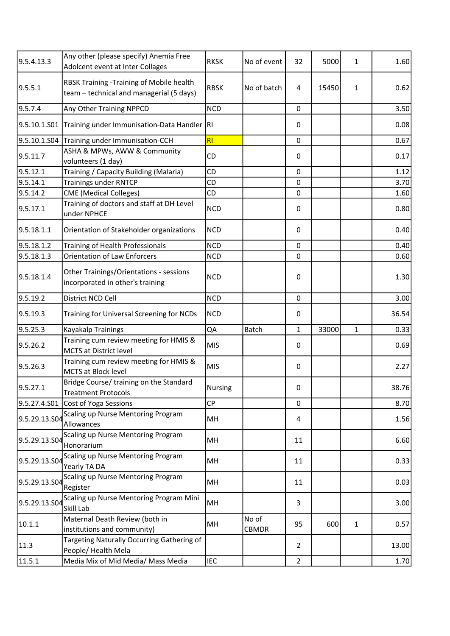| 9.5.4.13.3    | Any other (please specify) Anemia Free<br>Adolcent event at Inter Collages            | <b>RKSK</b> | No of event    | 32             | 5000  | 1            | 1.60  |
|---------------|---------------------------------------------------------------------------------------|-------------|----------------|----------------|-------|--------------|-------|
| 9.5.5.1       | RBSK Training - Training of Mobile health<br>team - technical and managerial (5 days) | <b>RBSK</b> | No of batch    | 4              | 15450 | 1            | 0.62  |
| 9.5.7.4       | Any Other Training NPPCD                                                              | <b>NCD</b>  |                | 0              |       |              | 3.50  |
| 9.5.10.1.S01  | Training under Immunisation-Data Handler RI                                           |             |                | 0              |       |              | 0.08  |
| 9.5.10.1.S04  | Training under Immunisation-CCH                                                       | R1          |                | 0              |       |              | 0.67  |
| 9.5.11.7      | ASHA & MPWs, AWW & Community<br>volunteers (1 day)                                    | <b>CD</b>   |                | 0              |       |              | 0.17  |
| 9.5.12.1      | Training / Capacity Building (Malaria)                                                | <b>CD</b>   |                | 0              |       |              | 1.12  |
| 9.5.14.1      | <b>Trainings under RNTCP</b>                                                          | CD          |                | 0              |       |              | 3.70  |
| 9.5.14.2      | <b>CME</b> (Medical Colleges)                                                         | CD          |                | 0              |       |              | 1.60  |
| 9.5.17.1      | Training of doctors and staff at DH Level<br>under NPHCE                              | <b>NCD</b>  |                | 0              |       |              | 0.80  |
| 9.5.18.1.1    | Orientation of Stakeholder organizations                                              | <b>NCD</b>  |                | 0              |       |              | 0.40  |
| 9.5.18.1.2    | Training of Health Professionals                                                      | <b>NCD</b>  |                | 0              |       |              | 0.40  |
| 9.5.18.1.3    | <b>Orientation of Law Enforcers</b>                                                   | <b>NCD</b>  |                | 0              |       |              | 0.60  |
| 9.5.18.1.4    | Other Trainings/Orientations - sessions<br>incorporated in other's training           | <b>NCD</b>  |                | 0              |       |              | 1.30  |
| 9.5.19.2      | District NCD Cell                                                                     | <b>NCD</b>  |                | 0              |       |              | 3.00  |
| 9.5.19.3      | Training for Universal Screening for NCDs                                             | <b>NCD</b>  |                | 0              |       |              | 36.54 |
| 9.5.25.3      | Kayakalp Trainings                                                                    | QA          | Batch          | $\mathbf{1}$   | 33000 | $\mathbf 1$  | 0.33  |
| 9.5.26.2      | Training cum review meeting for HMIS &<br><b>MCTS at District level</b>               | MIS         |                | 0              |       |              | 0.69  |
| 9.5.26.3      | Training cum review meeting for HMIS &<br><b>MCTS at Block level</b>                  | <b>MIS</b>  |                | 0              |       |              | 2.27  |
| 9.5.27.1      | Bridge Course/ training on the Standard<br><b>Treatment Protocols</b>                 | Nursing     |                | 0              |       |              | 38.76 |
| 9.5.27.4.S01  | Cost of Yoga Sessions                                                                 | <b>CP</b>   |                | 0              |       |              | 8.70  |
| 9.5.29.13.SO4 | Scaling up Nurse Mentoring Program<br>Allowances                                      | MH          |                | 4              |       |              | 1.56  |
| 9.5.29.13.SO4 | Scaling up Nurse Mentoring Program<br>Honorarium                                      | MH          |                | 11             |       |              | 6.60  |
| 9.5.29.13.SO4 | Scaling up Nurse Mentoring Program<br>Yearly TA DA                                    | MH          |                | 11             |       |              | 0.33  |
| 9.5.29.13.504 | Scaling up Nurse Mentoring Program<br>Register                                        | MH          |                | 11             |       |              | 0.03  |
| 9.5.29.13.SO  | Scaling up Nurse Mentoring Program Mini<br>Skill Lab                                  | MH          |                | 3              |       |              | 3.00  |
| 10.1.1        | Maternal Death Review (both in<br>institutions and community)                         | MH          | No of<br>CBMDR | 95             | 600   | $\mathbf{1}$ | 0.57  |
| 11.3          | Targeting Naturally Occurring Gathering of<br>People/Health Mela                      |             |                | $\overline{2}$ |       |              | 13.00 |
| 11.5.1        | Media Mix of Mid Media/ Mass Media                                                    | <b>IEC</b>  |                | $\overline{2}$ |       |              | 1.70  |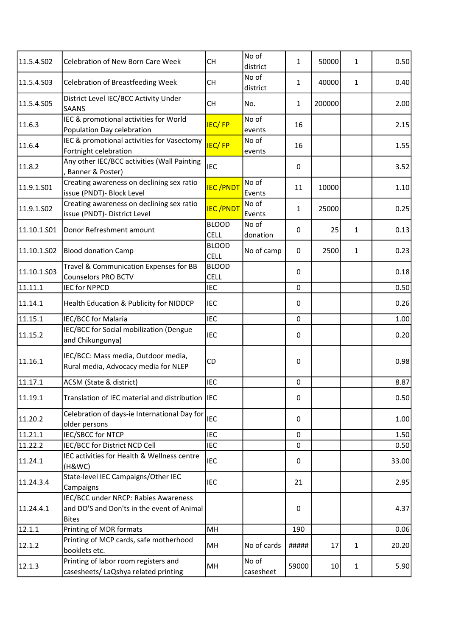| 11.5.4.502  | <b>Celebration of New Born Care Week</b>                                                           | <b>CH</b>                   | No of<br>district  | 1            | 50000           | $\mathbf{1}$ | 0.50  |
|-------------|----------------------------------------------------------------------------------------------------|-----------------------------|--------------------|--------------|-----------------|--------------|-------|
| 11.5.4.S03  | <b>Celebration of Breastfeeding Week</b>                                                           | <b>CH</b>                   | No of<br>district  | $\mathbf{1}$ | 40000           | 1            | 0.40  |
| 11.5.4.S05  | District Level IEC/BCC Activity Under<br><b>SAANS</b>                                              | <b>CH</b>                   | No.                | $\mathbf{1}$ | 200000          |              | 2.00  |
| 11.6.3      | IEC & promotional activities for World<br>Population Day celebration                               | <b>IEC/FP</b>               | No of<br>events    | 16           |                 |              | 2.15  |
| 11.6.4      | IEC & promotional activities for Vasectomy<br>Fortnight celebration                                | <b>IEC/FP</b>               | No of<br>events    | 16           |                 |              | 1.55  |
| 11.8.2      | Any other IEC/BCC activities (Wall Painting<br>Banner & Poster)                                    | <b>IEC</b>                  |                    | 0            |                 |              | 3.52  |
| 11.9.1.501  | Creating awareness on declining sex ratio<br>issue (PNDT)- Block Level                             | <b>IEC/PNDT</b>             | No of<br>Events    | 11           | 10000           |              | 1.10  |
| 11.9.1.S02  | Creating awareness on declining sex ratio<br>issue (PNDT)- District Level                          | <b>IEC/PNDT</b>             | No of<br>Events    | $\mathbf{1}$ | 25000           |              | 0.25  |
| 11.10.1.S01 | Donor Refreshment amount                                                                           | <b>BLOOD</b><br><b>CELL</b> | No of<br>donation  | 0            | 25              | 1            | 0.13  |
| 11.10.1.S02 | <b>Blood donation Camp</b>                                                                         | <b>BLOOD</b><br><b>CELL</b> | No of camp         | $\mathbf 0$  | 2500            | $\mathbf{1}$ | 0.23  |
| 11.10.1.503 | Travel & Communication Expenses for BB<br><b>Counselors PRO BCTV</b>                               | <b>BLOOD</b><br>CELL        |                    | $\mathbf{0}$ |                 |              | 0.18  |
| 11.11.1     | <b>IEC for NPPCD</b>                                                                               | <b>IEC</b>                  |                    | $\mathbf 0$  |                 |              | 0.50  |
| 11.14.1     | Health Education & Publicity for NIDDCP                                                            | <b>IEC</b>                  |                    | 0            |                 |              | 0.26  |
| 11.15.1     | IEC/BCC for Malaria                                                                                | <b>IEC</b>                  |                    | $\mathbf 0$  |                 |              | 1.00  |
| 11.15.2     | IEC/BCC for Social mobilization (Dengue<br>and Chikungunya)                                        | <b>IEC</b>                  |                    | 0            |                 |              | 0.20  |
| 11.16.1     | IEC/BCC: Mass media, Outdoor media,<br>Rural media, Advocacy media for NLEP                        | CD                          |                    | $\mathbf 0$  |                 |              | 0.98  |
| 11.17.1     | ACSM (State & district)                                                                            | <b>IEC</b>                  |                    | $\mathbf 0$  |                 |              | 8.87  |
| 11.19.1     | Translation of IEC material and distribution IEC                                                   |                             |                    | $\mathbf 0$  |                 |              | 0.50  |
| 11.20.2     | Celebration of days-ie International Day for<br>older persons                                      | <b>IEC</b>                  |                    | 0            |                 |              | 1.00  |
| 11.21.1     | IEC/SBCC for NTCP                                                                                  | <b>IEC</b>                  |                    | $\mathbf 0$  |                 |              | 1.50  |
| 11.22.2     | IEC/BCC for District NCD Cell                                                                      | <b>IEC</b>                  |                    | $\mathbf 0$  |                 |              | 0.50  |
| 11.24.1     | IEC activities for Health & Wellness centre<br>(H&WC)                                              | <b>IEC</b>                  |                    | 0            |                 |              | 33.00 |
| 11.24.3.4   | State-level IEC Campaigns/Other IEC<br>Campaigns                                                   | <b>IEC</b>                  |                    | 21           |                 |              | 2.95  |
| 11.24.4.1   | IEC/BCC under NRCP: Rabies Awareness<br>and DO'S and Don'ts in the event of Animal<br><b>Bites</b> |                             |                    | 0            |                 |              | 4.37  |
| 12.1.1      | Printing of MDR formats                                                                            | MH                          |                    | 190          |                 |              | 0.06  |
| 12.1.2      | Printing of MCP cards, safe motherhood<br>booklets etc.                                            | MH                          | No of cards        | #####        | 17              | $\mathbf{1}$ | 20.20 |
| 12.1.3      | Printing of labor room registers and<br>casesheets/ LaQshya related printing                       | MH                          | No of<br>casesheet | 59000        | 10 <sup>1</sup> | $\mathbf{1}$ | 5.90  |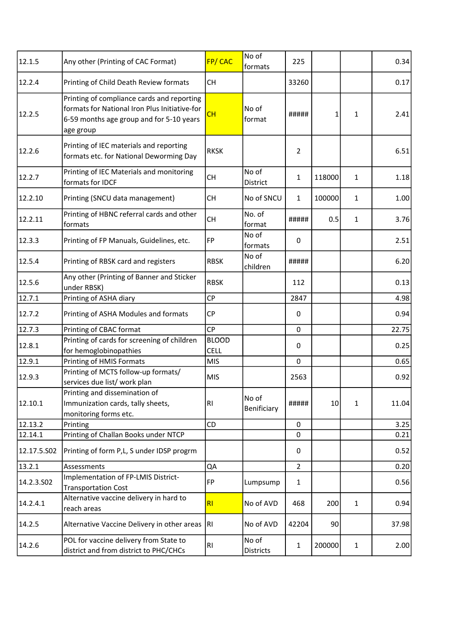| 12.1.5                                                                                                                                                                                                                                   | Any other (Printing of CAC Format)                                                                                                                   | FP/CAC         | No of<br>formats     | 225            |        |              | 0.34  |
|------------------------------------------------------------------------------------------------------------------------------------------------------------------------------------------------------------------------------------------|------------------------------------------------------------------------------------------------------------------------------------------------------|----------------|----------------------|----------------|--------|--------------|-------|
| 12.2.4                                                                                                                                                                                                                                   | Printing of Child Death Review formats                                                                                                               | <b>CH</b>      |                      | 33260          |        |              | 0.17  |
|                                                                                                                                                                                                                                          | Printing of compliance cards and reporting<br>formats for National Iron Plus Initiative-for<br>6-59 months age group and for 5-10 years<br>age group | CH             | No of<br>format      | #####          | 1      | 1            | 2.41  |
|                                                                                                                                                                                                                                          | Printing of IEC materials and reporting<br>formats etc. for National Deworming Day                                                                   | <b>RKSK</b>    |                      | $\overline{2}$ |        |              | 6.51  |
|                                                                                                                                                                                                                                          | Printing of IEC Materials and monitoring<br>formats for IDCF                                                                                         | <b>CH</b>      | No of<br>District    | $\mathbf{1}$   | 118000 | $\mathbf{1}$ | 1.18  |
|                                                                                                                                                                                                                                          | Printing (SNCU data management)                                                                                                                      | <b>CH</b>      | No of SNCU           | $\mathbf{1}$   | 100000 | $\mathbf{1}$ | 1.00  |
|                                                                                                                                                                                                                                          | Printing of HBNC referral cards and other<br>formats                                                                                                 | <b>CH</b>      | No. of<br>format     | #####          | 0.5    | 1            | 3.76  |
|                                                                                                                                                                                                                                          | Printing of FP Manuals, Guidelines, etc.                                                                                                             | FP             | No of<br>formats     | 0              |        |              | 2.51  |
|                                                                                                                                                                                                                                          | Printing of RBSK card and registers                                                                                                                  | <b>RBSK</b>    | No of<br>children    | #####          |        |              | 6.20  |
|                                                                                                                                                                                                                                          | Any other (Printing of Banner and Sticker<br>under RBSK)                                                                                             | <b>RBSK</b>    |                      | 112            |        |              | 0.13  |
|                                                                                                                                                                                                                                          | Printing of ASHA diary                                                                                                                               | CP             |                      | 2847           |        |              | 4.98  |
|                                                                                                                                                                                                                                          | Printing of ASHA Modules and formats                                                                                                                 | <b>CP</b>      |                      | 0              |        |              | 0.94  |
|                                                                                                                                                                                                                                          | Printing of CBAC format                                                                                                                              | <b>CP</b>      |                      | $\mathbf 0$    |        |              | 22.75 |
|                                                                                                                                                                                                                                          | Printing of cards for screening of children                                                                                                          | <b>BLOOD</b>   |                      |                |        |              |       |
| 12.2.5<br>12.2.6<br>12.2.7<br>12.2.10<br>12.2.11<br>12.3.3<br>12.5.4<br>12.5.6<br>12.7.1<br>12.7.2<br>12.7.3<br>12.8.1<br>12.9.1<br>12.9.3<br>12.10.1<br>12.13.2<br>12.14.1<br>12.17.5.S02<br>13.2.1<br>14.2.3.502<br>14.2.4.1<br>14.2.5 | for hemoglobinopathies                                                                                                                               | <b>CELL</b>    |                      | 0              |        |              | 0.25  |
|                                                                                                                                                                                                                                          | Printing of HMIS Formats                                                                                                                             | <b>MIS</b>     |                      | $\mathbf 0$    |        |              | 0.65  |
|                                                                                                                                                                                                                                          | Printing of MCTS follow-up formats/<br>services due list/ work plan                                                                                  | <b>MIS</b>     |                      | 2563           |        |              | 0.92  |
|                                                                                                                                                                                                                                          | Printing and dissemination of<br>Immunization cards, tally sheets,<br>monitoring forms etc.                                                          | R1             | No of<br>Benificiary | #####          | 10     | 1            | 11.04 |
|                                                                                                                                                                                                                                          | Printing                                                                                                                                             | <b>CD</b>      |                      | $\mathbf 0$    |        |              | 3.25  |
|                                                                                                                                                                                                                                          | Printing of Challan Books under NTCP                                                                                                                 |                |                      | $\mathbf 0$    |        |              | 0.21  |
|                                                                                                                                                                                                                                          | Printing of form P,L, S under IDSP progrm                                                                                                            |                |                      | 0              |        |              | 0.52  |
|                                                                                                                                                                                                                                          | Assessments                                                                                                                                          | QA             |                      | $\overline{2}$ |        |              | 0.20  |
|                                                                                                                                                                                                                                          | Implementation of FP-LMIS District-<br><b>Transportation Cost</b>                                                                                    | FP             | Lumpsump             | $\mathbf{1}$   |        |              | 0.56  |
|                                                                                                                                                                                                                                          | Alternative vaccine delivery in hard to<br>reach areas                                                                                               | R1             | No of AVD            | 468            | 200    | $\mathbf{1}$ | 0.94  |
|                                                                                                                                                                                                                                          | Alternative Vaccine Delivery in other areas                                                                                                          | RI.            | No of AVD            | 42204          | 90     |              | 37.98 |
| 14.2.6                                                                                                                                                                                                                                   | POL for vaccine delivery from State to<br>district and from district to PHC/CHCs                                                                     | R <sub>l</sub> | No of<br>Districts   | $\mathbf{1}$   | 200000 | 1            | 2.00  |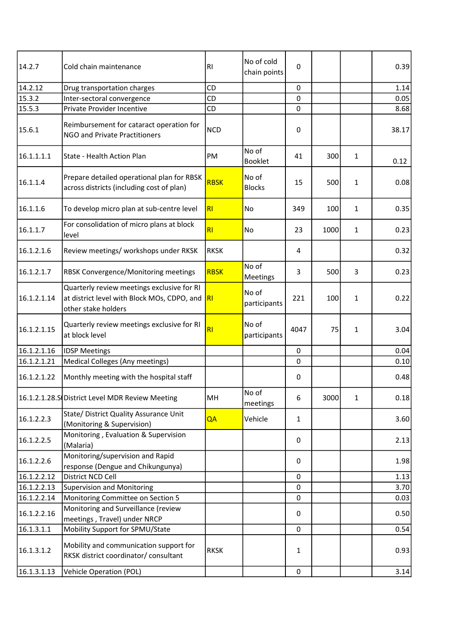| 14.2.7      | Cold chain maintenance                                                                                           | RI             | No of cold<br>chain points | 0            |      |              | 0.39  |
|-------------|------------------------------------------------------------------------------------------------------------------|----------------|----------------------------|--------------|------|--------------|-------|
| 14.2.12     | Drug transportation charges                                                                                      | CD             |                            | 0            |      |              | 1.14  |
| 15.3.2      | Inter-sectoral convergence                                                                                       | CD             |                            | 0            |      |              | 0.05  |
| 15.5.3      | Private Provider Incentive                                                                                       | CD             |                            | $\mathbf 0$  |      |              | 8.68  |
| 15.6.1      | Reimbursement for cataract operation for<br><b>NGO and Private Practitioners</b>                                 | <b>NCD</b>     |                            | 0            |      |              | 38.17 |
| 16.1.1.1.1  | State - Health Action Plan                                                                                       | PM             | No of<br><b>Booklet</b>    | 41           | 300  | 1            | 0.12  |
| 16.1.1.4    | Prepare detailed operational plan for RBSK<br>across districts (including cost of plan)                          | <b>RBSK</b>    | No of<br><b>Blocks</b>     | 15           | 500  | 1            | 0.08  |
| 16.1.1.6    | To develop micro plan at sub-centre level                                                                        | R1             | No                         | 349          | 100  | 1            | 0.35  |
| 16.1.1.7    | For consolidation of micro plans at block<br>level                                                               | R1             | No                         | 23           | 1000 | 1            | 0.23  |
| 16.1.2.1.6  | Review meetings/ workshops under RKSK                                                                            | <b>RKSK</b>    |                            | 4            |      |              | 0.32  |
| 16.1.2.1.7  | RBSK Convergence/Monitoring meetings                                                                             | <b>RBSK</b>    | No of<br>Meetings          | 3            | 500  | 3            | 0.23  |
| 16.1.2.1.14 | Quarterly review meetings exclusive for RI<br>at district level with Block MOs, CDPO, and<br>other stake holders | <b>RI</b>      | No of<br>participants      | 221          | 100  | 1            | 0.22  |
| 16.1.2.1.15 | Quarterly review meetings exclusive for RI<br>at block level                                                     | R <sub>l</sub> | No of<br>participants      | 4047         | 75   | 1            | 3.04  |
| 16.1.2.1.16 | <b>IDSP Meetings</b>                                                                                             |                |                            | 0            |      |              | 0.04  |
| 16.1.2.1.21 | Medical Colleges (Any meetings)                                                                                  |                |                            | 0            |      |              | 0.10  |
| 16.1.2.1.22 | Monthly meeting with the hospital staff                                                                          |                |                            | 0            |      |              | 0.48  |
|             | 16.1.2.1.28.S District Level MDR Review Meeting                                                                  | MH             | No of<br>meetings          | 6            | 3000 | $\mathbf{1}$ | 0.18  |
| 16.1.2.2.3  | State/ District Quality Assurance Unit<br>(Monitoring & Supervision)                                             | QA             | Vehicle                    | $\mathbf{1}$ |      |              | 3.60  |
| 16.1.2.2.5  | Monitoring, Evaluation & Supervision<br>(Malaria)                                                                |                |                            | 0            |      |              | 2.13  |
| 16.1.2.2.6  | Monitoring/supervision and Rapid<br>response (Dengue and Chikungunya)                                            |                |                            | 0            |      |              | 1.98  |
| 16.1.2.2.12 | District NCD Cell                                                                                                |                |                            | 0            |      |              | 1.13  |
| 16.1.2.2.13 | <b>Supervision and Monitoring</b>                                                                                |                |                            | $\mathbf 0$  |      |              | 3.70  |
| 16.1.2.2.14 | Monitoring Committee on Section 5                                                                                |                |                            | 0            |      |              | 0.03  |
| 16.1.2.2.16 | Monitoring and Surveillance (review<br>meetings, Travel) under NRCP                                              |                |                            | 0            |      |              | 0.50  |
| 16.1.3.1.1  | Mobility Support for SPMU/State                                                                                  |                |                            | 0            |      |              | 0.54  |
| 16.1.3.1.2  | Mobility and communication support for<br>RKSK district coordinator/ consultant                                  | <b>RKSK</b>    |                            | $\mathbf{1}$ |      |              | 0.93  |
| 16.1.3.1.13 | <b>Vehicle Operation (POL)</b>                                                                                   |                |                            | $\pmb{0}$    |      |              | 3.14  |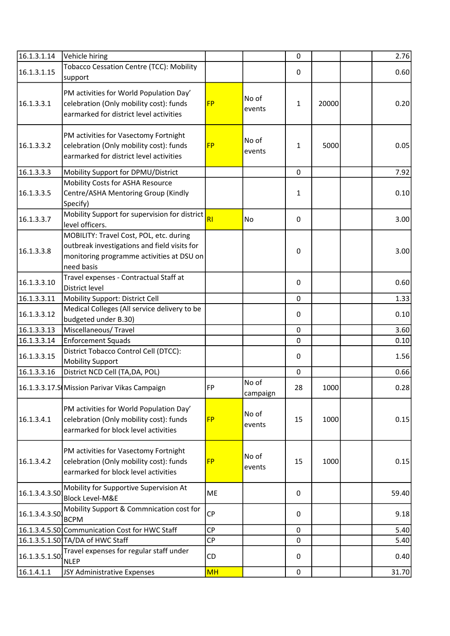| 16.1.3.1.14   | Vehicle hiring                                                                                                                                     |           |                   | $\mathbf 0$  |       | 2.76  |
|---------------|----------------------------------------------------------------------------------------------------------------------------------------------------|-----------|-------------------|--------------|-------|-------|
| 16.1.3.1.15   | Tobacco Cessation Centre (TCC): Mobility<br>support                                                                                                |           |                   | 0            |       | 0.60  |
| 16.1.3.3.1    | PM activities for World Population Day'<br>celebration (Only mobility cost): funds<br>earmarked for district level activities                      | <b>FP</b> | No of<br>events   | $\mathbf{1}$ | 20000 | 0.20  |
| 16.1.3.3.2    | PM activities for Vasectomy Fortnight<br>celebration (Only mobility cost): funds<br>earmarked for district level activities                        | <b>FP</b> | No of<br>events   | $\mathbf{1}$ | 5000  | 0.05  |
| 16.1.3.3.3    | Mobility Support for DPMU/District                                                                                                                 |           |                   | $\mathbf 0$  |       | 7.92  |
| 16.1.3.3.5    | Mobility Costs for ASHA Resource<br>Centre/ASHA Mentoring Group (Kindly<br>Specify)                                                                |           |                   | $\mathbf{1}$ |       | 0.10  |
| 16.1.3.3.7    | Mobility Support for supervision for district<br>level officers.                                                                                   | <b>RI</b> | No                | 0            |       | 3.00  |
| 16.1.3.3.8    | MOBILITY: Travel Cost, POL, etc. during<br>outbreak investigations and field visits for<br>monitoring programme activities at DSU on<br>need basis |           |                   | $\mathbf 0$  |       | 3.00  |
| 16.1.3.3.10   | Travel expenses - Contractual Staff at<br>District level                                                                                           |           |                   | 0            |       | 0.60  |
| 16.1.3.3.11   | Mobility Support: District Cell                                                                                                                    |           |                   | $\mathbf 0$  |       | 1.33  |
| 16.1.3.3.12   | Medical Colleges (All service delivery to be<br>budgeted under B.30)                                                                               |           |                   | 0            |       | 0.10  |
| 16.1.3.3.13   | Miscellaneous/Travel                                                                                                                               |           |                   | $\pmb{0}$    |       | 3.60  |
| 16.1.3.3.14   | <b>Enforcement Squads</b>                                                                                                                          |           |                   | 0            |       | 0.10  |
| 16.1.3.3.15   | District Tobacco Control Cell (DTCC):<br><b>Mobility Support</b>                                                                                   |           |                   | $\mathbf{0}$ |       | 1.56  |
| 16.1.3.3.16   | District NCD Cell (TA, DA, POL)                                                                                                                    |           |                   | 0            |       | 0.66  |
|               | 16.1.3.3.17.S Mission Parivar Vikas Campaign                                                                                                       | FP        | No of<br>campaign | 28           | 1000  | 0.28  |
| 16.1.3.4.1    | PM activities for World Population Day'<br>celebration (Only mobility cost): funds<br>earmarked for block level activities                         | <b>FP</b> | No of<br>events   | 15           | 1000  | 0.15  |
| 16.1.3.4.2    | PM activities for Vasectomy Fortnight<br>celebration (Only mobility cost): funds<br>earmarked for block level activities                           | <b>FP</b> | No of<br>events   | 15           | 1000  | 0.15  |
| 16.1.3.4.3.50 | Mobility for Supportive Supervision At<br><b>Block Level-M&amp;E</b>                                                                               | ME        |                   | $\Omega$     |       | 59.40 |
| 16.1.3.4.3.50 | Mobility Support & Commnication cost for<br><b>BCPM</b>                                                                                            | <b>CP</b> |                   | 0            |       | 9.18  |
|               | 16.1.3.4.5.S0 Communication Cost for HWC Staff                                                                                                     | CP        |                   | $\mathbf 0$  |       | 5.40  |
|               | 16.1.3.5.1.S0 TA/DA of HWC Staff                                                                                                                   | <b>CP</b> |                   | 0            |       | 5.40  |
| 16.1.3.5.1.SO | Travel expenses for regular staff under<br><b>NLEP</b>                                                                                             | CD        |                   | 0            |       | 0.40  |
| 16.1.4.1.1    | JSY Administrative Expenses                                                                                                                        | MH        |                   | $\pmb{0}$    |       | 31.70 |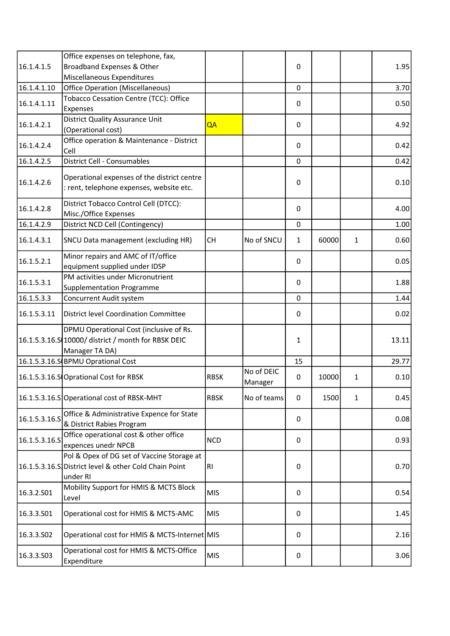| 16.1.4.1.5    | Office expenses on telephone, fax,<br>Broadband Expenses & Other                                                 |             |                       | $\mathbf 0$  |       |              | 1.95  |
|---------------|------------------------------------------------------------------------------------------------------------------|-------------|-----------------------|--------------|-------|--------------|-------|
|               |                                                                                                                  |             |                       |              |       |              |       |
| 16.1.4.1.10   | Miscellaneous Expenditures                                                                                       |             |                       |              |       |              |       |
|               | <b>Office Operation (Miscellaneous)</b>                                                                          |             |                       | 0            |       |              | 3.70  |
| 16.1.4.1.11   | Tobacco Cessation Centre (TCC): Office<br>Expenses                                                               |             |                       | 0            |       |              | 0.50  |
| 16.1.4.2.1    | <b>District Quality Assurance Unit</b><br>(Operational cost)                                                     | QA          |                       | 0            |       |              | 4.92  |
| 16.1.4.2.4    | Office operation & Maintenance - District<br>Cell                                                                |             |                       | 0            |       |              | 0.42  |
| 16.1.4.2.5    | District Cell - Consumables                                                                                      |             |                       | $\mathbf 0$  |       |              | 0.42  |
|               |                                                                                                                  |             |                       |              |       |              |       |
| 16.1.4.2.6    | Operational expenses of the district centre<br>: rent, telephone expenses, website etc.                          |             |                       | $\mathbf 0$  |       |              | 0.10  |
| 16.1.4.2.8    | District Tobacco Control Cell (DTCC):<br>Misc./Office Expenses                                                   |             |                       | $\mathbf 0$  |       |              | 4.00  |
| 16.1.4.2.9    | District NCD Cell (Contingency)                                                                                  |             |                       | $\mathbf 0$  |       |              | 1.00  |
| 16.1.4.3.1    | SNCU Data management (excluding HR)                                                                              | <b>CH</b>   | No of SNCU            | $\mathbf{1}$ | 60000 | $\mathbf{1}$ | 0.60  |
| 16.1.5.2.1    | Minor repairs and AMC of IT/office<br>equipment supplied under IDSP                                              |             |                       | $\mathbf{0}$ |       |              | 0.05  |
| 16.1.5.3.1    | PM activities under Micronutrient<br><b>Supplementation Programme</b>                                            |             |                       | 0            |       |              | 1.88  |
| 16.1.5.3.3    | Concurrent Audit system                                                                                          |             |                       | $\mathbf 0$  |       |              | 1.44  |
|               |                                                                                                                  |             |                       |              |       |              |       |
| 16.1.5.3.11   | District level Coordination Committee                                                                            |             |                       | 0            |       |              | 0.02  |
|               | DPMU Operational Cost (inclusive of Rs.<br>16.1.5.3.16.S 10000/ district / month for RBSK DEIC<br>Manager TA DA) |             |                       | 1            |       |              | 13.11 |
|               | 16.1.5.3.16.S BPMU Oprational Cost                                                                               |             |                       | 15           |       |              | 29.77 |
|               | 16.1.5.3.16.S Oprational Cost for RBSK                                                                           | <b>RBSK</b> | No of DEIC<br>Manager | 0            | 10000 | 1            | 0.10  |
|               | 16.1.5.3.16.S Operational cost of RBSK-MHT                                                                       | <b>RBSK</b> | No of teams           | $\Omega$     | 1500  | $\mathbf{1}$ | 0.45  |
| 16.1.5.3.16.S | Office & Administrative Expence for State<br>& District Rabies Program                                           |             |                       | 0            |       |              | 0.08  |
| 16.1.5.3.16.S | Office operational cost & other office<br>expences unedr NPCB                                                    | <b>NCD</b>  |                       | 0            |       |              | 0.93  |
|               | Pol & Opex of DG set of Vaccine Storage at<br>16.1.5.3.16.S District level & other Cold Chain Point<br>under RI  | RI          |                       | 0            |       |              | 0.70  |
| 16.3.2.S01    | Mobility Support for HMIS & MCTS Block<br>Level                                                                  | MIS         |                       | $\Omega$     |       |              | 0.54  |
| 16.3.3.501    | Operational cost for HMIS & MCTS-AMC                                                                             | <b>MIS</b>  |                       | 0            |       |              | 1.45  |
| 16.3.3.502    | Operational cost for HMIS & MCTS-Internet MIS                                                                    |             |                       | 0            |       |              | 2.16  |
| 16.3.3.503    | Operational cost for HMIS & MCTS-Office<br>Expenditure                                                           | <b>MIS</b>  |                       | 0            |       |              | 3.06  |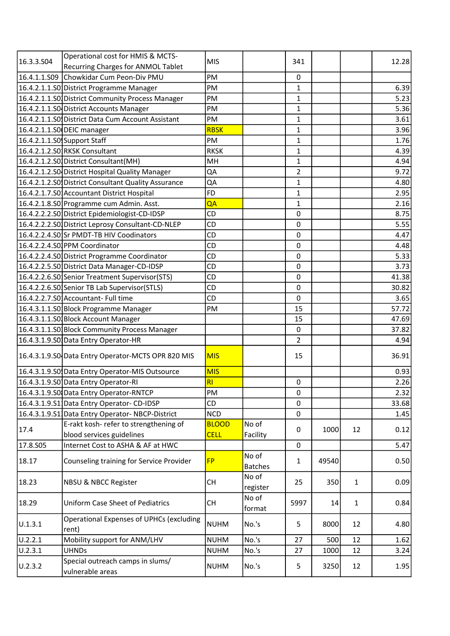| 16.3.3.504 | Operational cost for HMIS & MCTS-                    | <b>MIS</b>   |                         | 341            |       |              | 12.28 |
|------------|------------------------------------------------------|--------------|-------------------------|----------------|-------|--------------|-------|
|            | <b>Recurring Charges for ANMOL Tablet</b>            |              |                         |                |       |              |       |
|            | 16.4.1.1.S09 Chowkidar Cum Peon-Div PMU              | PM           |                         | $\mathbf 0$    |       |              |       |
|            | 16.4.2.1.1.S0 District Programme Manager             | PM           |                         | $\mathbf{1}$   |       |              | 6.39  |
|            | 16.4.2.1.1.S0 District Community Process Manager     | PM           |                         | 1              |       |              | 5.23  |
|            | 16.4.2.1.1.SO District Accounts Manager              | PM           |                         | $\mathbf{1}$   |       |              | 5.36  |
|            | 16.4.2.1.1.S0 District Data Cum Account Assistant    | PM           |                         | 1              |       |              | 3.61  |
|            | 16.4.2.1.1.SO DEIC manager                           | <b>RBSK</b>  |                         | $\mathbf{1}$   |       |              | 3.96  |
|            | 16.4.2.1.1.SO Support Staff                          | PM           |                         | $\mathbf{1}$   |       |              | 1.76  |
|            | 16.4.2.1.2.S0 RKSK Consultant                        | <b>RKSK</b>  |                         | $\mathbf{1}$   |       |              | 4.39  |
|            | 16.4.2.1.2.S0 District Consultant (MH)               | MH           |                         | $\mathbf{1}$   |       |              | 4.94  |
|            | 16.4.2.1.2.SO District Hospital Quality Manager      | QA           |                         | $\overline{2}$ |       |              | 9.72  |
|            | 16.4.2.1.2.SO District Consultant Quality Assurance  | QA           |                         | 1              |       |              | 4.80  |
|            | 16.4.2.1.7.S0 Accountant District Hospital           | <b>FD</b>    |                         | $\mathbf{1}$   |       |              | 2.95  |
|            | 16.4.2.1.8.S0 Programme cum Admin. Asst.             | QA           |                         | $\mathbf{1}$   |       |              | 2.16  |
|            | 16.4.2.2.2.S0 District Epidemiologist-CD-IDSP        | CD           |                         | $\mathbf 0$    |       |              | 8.75  |
|            | 16.4.2.2.2.SO District Leprosy Consultant-CD-NLEP    | <b>CD</b>    |                         | $\pmb{0}$      |       |              | 5.55  |
|            | 16.4.2.2.4.S0 Sr PMDT-TB HIV Coodinators             | CD           |                         | $\mathbf 0$    |       |              | 4.47  |
|            | 16.4.2.2.4.S0 PPM Coordinator                        | <b>CD</b>    |                         | $\mathbf 0$    |       |              | 4.48  |
|            | 16.4.2.2.4.S0 District Programme Coordinator         | CD           |                         | $\mathbf 0$    |       |              | 5.33  |
|            | 16.4.2.2.5.S0 District Data Manager-CD-IDSP          | CD           |                         | $\mathbf 0$    |       |              | 3.73  |
|            | 16.4.2.2.6.S0 Senior Treatment Supervisor (STS)      | CD           |                         | $\mathbf 0$    |       |              | 41.38 |
|            | 16.4.2.2.6.S0 Senior TB Lab Supervisor (STLS)        | CD           |                         | $\pmb{0}$      |       |              | 30.82 |
|            | 16.4.2.2.7.S0 Accountant- Full time                  | CD           |                         | $\mathbf 0$    |       |              | 3.65  |
|            | 16.4.3.1.1.50 Block Programme Manager                | PM           |                         | 15             |       |              | 57.72 |
|            | 16.4.3.1.1.50 Block Account Manager                  |              |                         | 15             |       |              | 47.69 |
|            | 16.4.3.1.1.SO Block Community Process Manager        |              |                         | $\mathbf 0$    |       |              | 37.82 |
|            | 16.4.3.1.9.S0 Data Entry Operator-HR                 |              |                         | $\overline{2}$ |       |              | 4.94  |
|            | 16.4.3.1.9.SO Data Entry Operator-MCTS OPR 820 MIS   | <b>MIS</b>   |                         | 15             |       |              | 36.91 |
|            | 16.4.3.1.9.SO Data Entry Operator-MIS Outsource      | <b>MIS</b>   |                         |                |       |              | 0.93  |
|            | 16.4.3.1.9.S0 Data Entry Operator-RI                 | RI           |                         | $\pmb{0}$      |       |              | 2.26  |
|            | 16.4.3.1.9.SO Data Entry Operator-RNTCP              | PM           |                         | $\pmb{0}$      |       |              | 2.32  |
|            | 16.4.3.1.9.51 Data Entry Operator-CD-IDSP            | <b>CD</b>    |                         | $\mathbf 0$    |       |              | 33.68 |
|            | 16.4.3.1.9.51 Data Entry Operator-NBCP-District      | <b>NCD</b>   |                         | $\pmb{0}$      |       |              | 1.45  |
|            | E-rakt kosh- refer to strengthening of               | <b>BLOOD</b> | No of                   |                |       |              |       |
| 17.4       | blood services guidelines                            | <b>CELL</b>  | Facility                | 0              | 1000  | 12           | 0.12  |
| 17.8.S05   | Internet Cost to ASHA & AF at HWC                    |              |                         | $\mathbf 0$    |       |              | 5.47  |
| 18.17      | Counseling training for Service Provider             | <b>FP</b>    | No of<br><b>Batches</b> | $\mathbf{1}$   | 49540 |              | 0.50  |
| 18.23      | NBSU & NBCC Register                                 | <b>CH</b>    | No of<br>register       | 25             | 350   | $\mathbf{1}$ | 0.09  |
| 18.29      | <b>Uniform Case Sheet of Pediatrics</b>              | <b>CH</b>    | No of<br>format         | 5997           | 14    | $\mathbf{1}$ | 0.84  |
| U.1.3.1    | Operational Expenses of UPHCs (excluding<br>rent)    | <b>NUHM</b>  | No.'s                   | 5              | 8000  | 12           | 4.80  |
| U.2.2.1    | Mobility support for ANM/LHV                         | <b>NUHM</b>  | No.'s                   | 27             | 500   | 12           | 1.62  |
| U.2.3.1    | <b>UHNDs</b>                                         | <b>NUHM</b>  | No.'s                   | 27             | 1000  | 12           | 3.24  |
| U.2.3.2    | Special outreach camps in slums/<br>vulnerable areas | <b>NUHM</b>  | No.'s                   | 5              | 3250  | 12           | 1.95  |